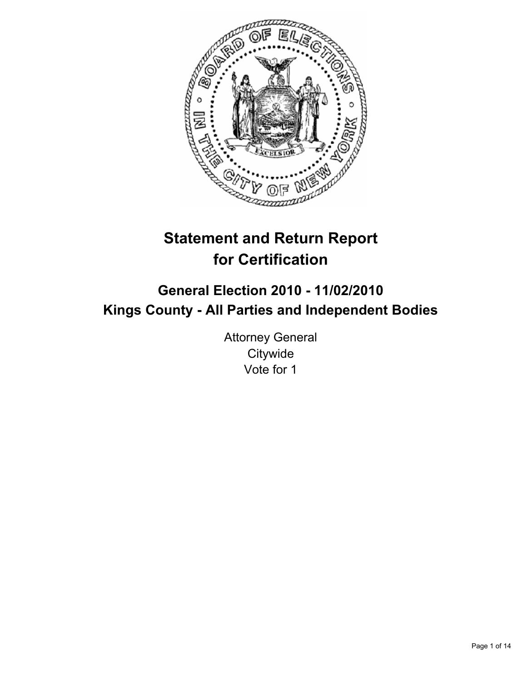

# **Statement and Return Report for Certification**

## **General Election 2010 - 11/02/2010 Kings County - All Parties and Independent Bodies**

Attorney General **Citywide** Vote for 1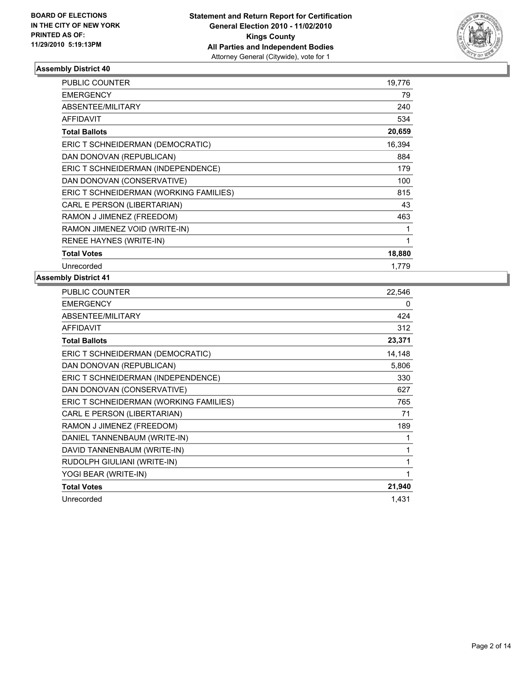

| <b>PUBLIC COUNTER</b>                  | 19,776 |
|----------------------------------------|--------|
| EMERGENCY                              | 79     |
| ABSENTEE/MILITARY                      | 240    |
| <b>AFFIDAVIT</b>                       | 534    |
| <b>Total Ballots</b>                   | 20,659 |
| ERIC T SCHNEIDERMAN (DEMOCRATIC)       | 16,394 |
| DAN DONOVAN (REPUBLICAN)               | 884    |
| ERIC T SCHNEIDERMAN (INDEPENDENCE)     | 179    |
| DAN DONOVAN (CONSERVATIVE)             | 100    |
| ERIC T SCHNEIDERMAN (WORKING FAMILIES) | 815    |
| CARL E PERSON (LIBERTARIAN)            | 43     |
| RAMON J JIMENEZ (FREEDOM)              | 463    |
| RAMON JIMENEZ VOID (WRITE-IN)          | 1      |
| RENEE HAYNES (WRITE-IN)                | 1      |
| <b>Total Votes</b>                     | 18,880 |
| Unrecorded                             | 1.779  |

| PUBLIC COUNTER                         | 22,546 |
|----------------------------------------|--------|
| <b>EMERGENCY</b>                       | 0      |
| ABSENTEE/MILITARY                      | 424    |
| <b>AFFIDAVIT</b>                       | 312    |
| <b>Total Ballots</b>                   | 23,371 |
| ERIC T SCHNEIDERMAN (DEMOCRATIC)       | 14,148 |
| DAN DONOVAN (REPUBLICAN)               | 5,806  |
| ERIC T SCHNEIDERMAN (INDEPENDENCE)     | 330    |
| DAN DONOVAN (CONSERVATIVE)             | 627    |
| ERIC T SCHNEIDERMAN (WORKING FAMILIES) | 765    |
| CARL E PERSON (LIBERTARIAN)            | 71     |
| RAMON J JIMENEZ (FREEDOM)              | 189    |
| DANIEL TANNENBAUM (WRITE-IN)           | 1      |
| DAVID TANNENBAUM (WRITE-IN)            | 1      |
| RUDOLPH GIULIANI (WRITE-IN)            | 1      |
| YOGI BEAR (WRITE-IN)                   | 1      |
| <b>Total Votes</b>                     | 21,940 |
| Unrecorded                             | 1,431  |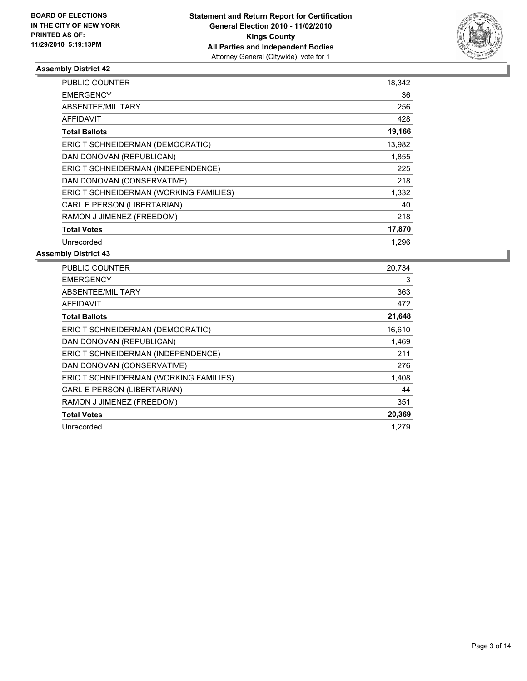

| <b>PUBLIC COUNTER</b>                  | 18,342 |
|----------------------------------------|--------|
| <b>EMERGENCY</b>                       | 36     |
| ABSENTEE/MILITARY                      | 256    |
| AFFIDAVIT                              | 428    |
| <b>Total Ballots</b>                   | 19,166 |
| ERIC T SCHNEIDERMAN (DEMOCRATIC)       | 13,982 |
| DAN DONOVAN (REPUBLICAN)               | 1,855  |
| ERIC T SCHNEIDERMAN (INDEPENDENCE)     | 225    |
| DAN DONOVAN (CONSERVATIVE)             | 218    |
| ERIC T SCHNEIDERMAN (WORKING FAMILIES) | 1,332  |
| CARL E PERSON (LIBERTARIAN)            | 40     |
| RAMON J JIMENEZ (FREEDOM)              | 218    |
| <b>Total Votes</b>                     | 17,870 |
| Unrecorded                             | 1.296  |

| <b>PUBLIC COUNTER</b>                  | 20,734 |
|----------------------------------------|--------|
| <b>EMERGENCY</b>                       | 3      |
| ABSENTEE/MILITARY                      | 363    |
| <b>AFFIDAVIT</b>                       | 472    |
| <b>Total Ballots</b>                   | 21,648 |
| ERIC T SCHNEIDERMAN (DEMOCRATIC)       | 16,610 |
| DAN DONOVAN (REPUBLICAN)               | 1,469  |
| ERIC T SCHNEIDERMAN (INDEPENDENCE)     | 211    |
| DAN DONOVAN (CONSERVATIVE)             | 276    |
| ERIC T SCHNEIDERMAN (WORKING FAMILIES) | 1,408  |
| CARL E PERSON (LIBERTARIAN)            | 44     |
| RAMON J JIMENEZ (FREEDOM)              | 351    |
| <b>Total Votes</b>                     | 20,369 |
| Unrecorded                             | 1.279  |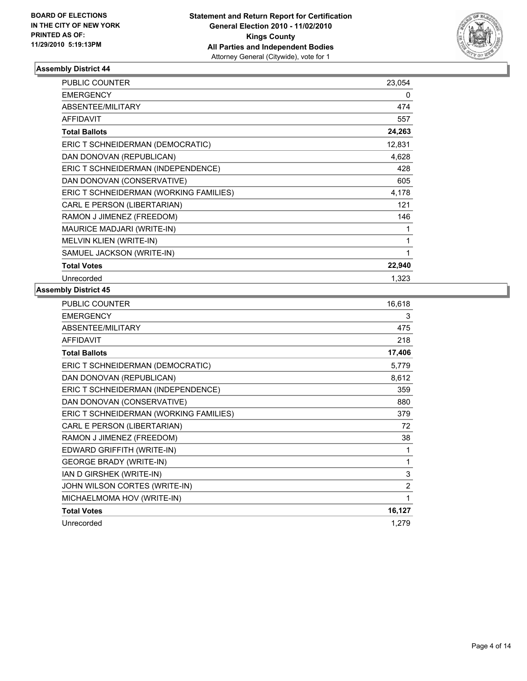

| <b>PUBLIC COUNTER</b>                  | 23,054 |
|----------------------------------------|--------|
| <b>EMERGENCY</b>                       | 0      |
| ABSENTEE/MILITARY                      | 474    |
| <b>AFFIDAVIT</b>                       | 557    |
| <b>Total Ballots</b>                   | 24,263 |
| ERIC T SCHNEIDERMAN (DEMOCRATIC)       | 12,831 |
| DAN DONOVAN (REPUBLICAN)               | 4,628  |
| ERIC T SCHNEIDERMAN (INDEPENDENCE)     | 428    |
| DAN DONOVAN (CONSERVATIVE)             | 605    |
| ERIC T SCHNEIDERMAN (WORKING FAMILIES) | 4,178  |
| CARL E PERSON (LIBERTARIAN)            | 121    |
| RAMON J JIMENEZ (FREEDOM)              | 146    |
| <b>MAURICE MADJARI (WRITE-IN)</b>      | 1      |
| MELVIN KLIEN (WRITE-IN)                | 1      |
| SAMUEL JACKSON (WRITE-IN)              | 1      |
| <b>Total Votes</b>                     | 22,940 |
| Unrecorded                             | 1,323  |

| PUBLIC COUNTER                         | 16,618         |
|----------------------------------------|----------------|
| <b>EMERGENCY</b>                       | 3              |
| <b>ABSENTEE/MILITARY</b>               | 475            |
| <b>AFFIDAVIT</b>                       | 218            |
| <b>Total Ballots</b>                   | 17,406         |
| ERIC T SCHNEIDERMAN (DEMOCRATIC)       | 5,779          |
| DAN DONOVAN (REPUBLICAN)               | 8,612          |
| ERIC T SCHNEIDERMAN (INDEPENDENCE)     | 359            |
| DAN DONOVAN (CONSERVATIVE)             | 880            |
| ERIC T SCHNEIDERMAN (WORKING FAMILIES) | 379            |
| CARL E PERSON (LIBERTARIAN)            | 72             |
| RAMON J JIMENEZ (FREEDOM)              | 38             |
| EDWARD GRIFFITH (WRITE-IN)             | 1              |
| <b>GEORGE BRADY (WRITE-IN)</b>         | 1              |
| IAN D GIRSHEK (WRITE-IN)               | 3              |
| JOHN WILSON CORTES (WRITE-IN)          | $\overline{2}$ |
| MICHAELMOMA HOV (WRITE-IN)             | 1              |
| <b>Total Votes</b>                     | 16,127         |
| Unrecorded                             | 1,279          |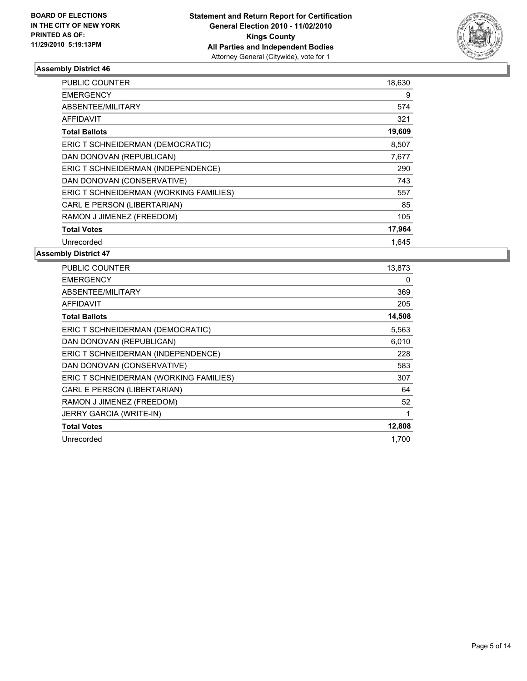

| <b>PUBLIC COUNTER</b>                  | 18,630 |
|----------------------------------------|--------|
| <b>EMERGENCY</b>                       | 9      |
| ABSENTEE/MILITARY                      | 574    |
| <b>AFFIDAVIT</b>                       | 321    |
| <b>Total Ballots</b>                   | 19,609 |
| ERIC T SCHNEIDERMAN (DEMOCRATIC)       | 8,507  |
| DAN DONOVAN (REPUBLICAN)               | 7,677  |
| ERIC T SCHNEIDERMAN (INDEPENDENCE)     | 290    |
| DAN DONOVAN (CONSERVATIVE)             | 743    |
| ERIC T SCHNEIDERMAN (WORKING FAMILIES) | 557    |
| CARL E PERSON (LIBERTARIAN)            | 85     |
| RAMON J JIMENEZ (FREEDOM)              | 105    |
| <b>Total Votes</b>                     | 17,964 |
| Unrecorded                             | 1,645  |

| <b>PUBLIC COUNTER</b>                  | 13,873 |
|----------------------------------------|--------|
| <b>EMERGENCY</b>                       | 0      |
| ABSENTEE/MILITARY                      | 369    |
| <b>AFFIDAVIT</b>                       | 205    |
| <b>Total Ballots</b>                   | 14,508 |
| ERIC T SCHNEIDERMAN (DEMOCRATIC)       | 5,563  |
| DAN DONOVAN (REPUBLICAN)               | 6,010  |
| ERIC T SCHNEIDERMAN (INDEPENDENCE)     | 228    |
| DAN DONOVAN (CONSERVATIVE)             | 583    |
| ERIC T SCHNEIDERMAN (WORKING FAMILIES) | 307    |
| CARL E PERSON (LIBERTARIAN)            | 64     |
| RAMON J JIMENEZ (FREEDOM)              | 52     |
| JERRY GARCIA (WRITE-IN)                | 1      |
| <b>Total Votes</b>                     | 12,808 |
| Unrecorded                             | 1,700  |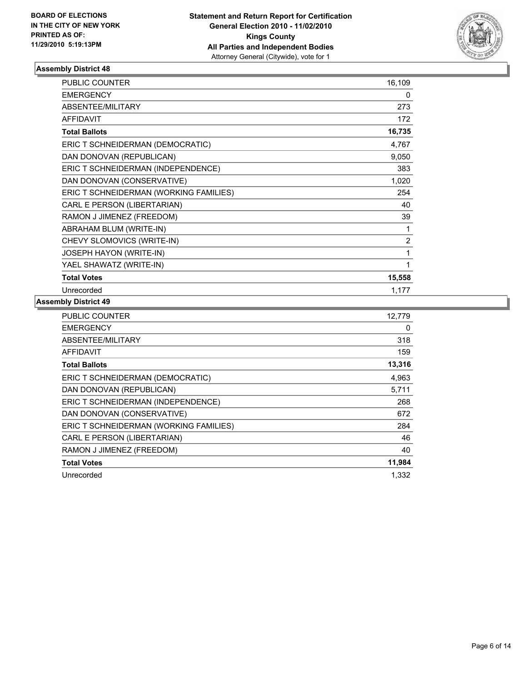

| <b>PUBLIC COUNTER</b>                  | 16,109         |
|----------------------------------------|----------------|
| <b>EMERGENCY</b>                       | 0              |
| ABSENTEE/MILITARY                      | 273            |
| <b>AFFIDAVIT</b>                       | 172            |
| <b>Total Ballots</b>                   | 16,735         |
| ERIC T SCHNEIDERMAN (DEMOCRATIC)       | 4,767          |
| DAN DONOVAN (REPUBLICAN)               | 9,050          |
| ERIC T SCHNEIDERMAN (INDEPENDENCE)     | 383            |
| DAN DONOVAN (CONSERVATIVE)             | 1,020          |
| ERIC T SCHNEIDERMAN (WORKING FAMILIES) | 254            |
| CARL E PERSON (LIBERTARIAN)            | 40             |
| RAMON J JIMENEZ (FREEDOM)              | 39             |
| ABRAHAM BLUM (WRITE-IN)                | 1              |
| CHEVY SLOMOVICS (WRITE-IN)             | $\overline{2}$ |
| JOSEPH HAYON (WRITE-IN)                | 1              |
| YAEL SHAWATZ (WRITE-IN)                | 1              |
| <b>Total Votes</b>                     | 15,558         |
| Unrecorded                             | 1,177          |

| <b>PUBLIC COUNTER</b>                  | 12,779 |
|----------------------------------------|--------|
| <b>EMERGENCY</b>                       | 0      |
| ABSENTEE/MILITARY                      | 318    |
| <b>AFFIDAVIT</b>                       | 159    |
| <b>Total Ballots</b>                   | 13,316 |
| ERIC T SCHNEIDERMAN (DEMOCRATIC)       | 4,963  |
| DAN DONOVAN (REPUBLICAN)               | 5,711  |
| ERIC T SCHNEIDERMAN (INDEPENDENCE)     | 268    |
| DAN DONOVAN (CONSERVATIVE)             | 672    |
| ERIC T SCHNEIDERMAN (WORKING FAMILIES) | 284    |
| CARL E PERSON (LIBERTARIAN)            | 46     |
| RAMON J JIMENEZ (FREEDOM)              | 40     |
| <b>Total Votes</b>                     | 11,984 |
| Unrecorded                             | 1,332  |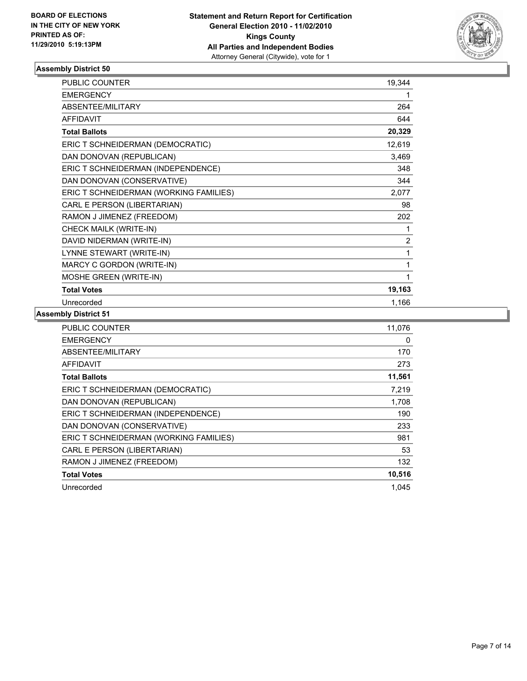

| PUBLIC COUNTER                         | 19,344         |
|----------------------------------------|----------------|
| <b>EMERGENCY</b>                       | 1              |
| ABSENTEE/MILITARY                      | 264            |
| <b>AFFIDAVIT</b>                       | 644            |
| <b>Total Ballots</b>                   | 20,329         |
| ERIC T SCHNEIDERMAN (DEMOCRATIC)       | 12,619         |
| DAN DONOVAN (REPUBLICAN)               | 3,469          |
| ERIC T SCHNEIDERMAN (INDEPENDENCE)     | 348            |
| DAN DONOVAN (CONSERVATIVE)             | 344            |
| ERIC T SCHNEIDERMAN (WORKING FAMILIES) | 2,077          |
| CARL E PERSON (LIBERTARIAN)            | 98             |
| RAMON J JIMENEZ (FREEDOM)              | 202            |
| CHECK MAILK (WRITE-IN)                 | 1              |
| DAVID NIDERMAN (WRITE-IN)              | $\overline{c}$ |
| LYNNE STEWART (WRITE-IN)               | 1              |
| MARCY C GORDON (WRITE-IN)              | 1              |
| MOSHE GREEN (WRITE-IN)                 | 1              |
| <b>Total Votes</b>                     | 19,163         |
| Unrecorded                             | 1,166          |

| <b>PUBLIC COUNTER</b>                  | 11,076 |
|----------------------------------------|--------|
| <b>EMERGENCY</b>                       | 0      |
| ABSENTEE/MILITARY                      | 170    |
| AFFIDAVIT                              | 273    |
| <b>Total Ballots</b>                   | 11,561 |
| ERIC T SCHNEIDERMAN (DEMOCRATIC)       | 7,219  |
| DAN DONOVAN (REPUBLICAN)               | 1,708  |
| ERIC T SCHNEIDERMAN (INDEPENDENCE)     | 190    |
| DAN DONOVAN (CONSERVATIVE)             | 233    |
| ERIC T SCHNEIDERMAN (WORKING FAMILIES) | 981    |
| CARL E PERSON (LIBERTARIAN)            | 53     |
| RAMON J JIMENEZ (FREEDOM)              | 132    |
| <b>Total Votes</b>                     | 10,516 |
| Unrecorded                             | 1.045  |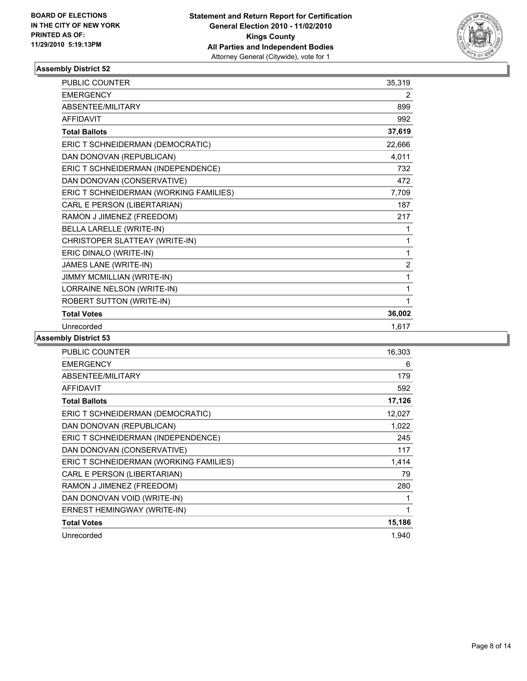

| <b>PUBLIC COUNTER</b>                  | 35,319         |
|----------------------------------------|----------------|
| <b>EMERGENCY</b>                       | 2              |
| ABSENTEE/MILITARY                      | 899            |
| <b>AFFIDAVIT</b>                       | 992            |
| <b>Total Ballots</b>                   | 37,619         |
| ERIC T SCHNEIDERMAN (DEMOCRATIC)       | 22,666         |
| DAN DONOVAN (REPUBLICAN)               | 4,011          |
| ERIC T SCHNEIDERMAN (INDEPENDENCE)     | 732            |
| DAN DONOVAN (CONSERVATIVE)             | 472            |
| ERIC T SCHNEIDERMAN (WORKING FAMILIES) | 7,709          |
| CARL E PERSON (LIBERTARIAN)            | 187            |
| RAMON J JIMENEZ (FREEDOM)              | 217            |
| <b>BELLA LARELLE (WRITE-IN)</b>        | 1              |
| CHRISTOPER SLATTEAY (WRITE-IN)         | 1              |
| ERIC DINALO (WRITE-IN)                 | 1              |
| JAMES LANE (WRITE-IN)                  | $\overline{2}$ |
| JIMMY MCMILLIAN (WRITE-IN)             | 1              |
| LORRAINE NELSON (WRITE-IN)             | 1              |
| ROBERT SUTTON (WRITE-IN)               | 1              |
| <b>Total Votes</b>                     | 36,002         |
| Unrecorded                             | 1,617          |

| PUBLIC COUNTER                         | 16,303 |
|----------------------------------------|--------|
| <b>EMERGENCY</b>                       | 6      |
| ABSENTEE/MILITARY                      | 179    |
| <b>AFFIDAVIT</b>                       | 592    |
| <b>Total Ballots</b>                   | 17,126 |
| ERIC T SCHNEIDERMAN (DEMOCRATIC)       | 12,027 |
| DAN DONOVAN (REPUBLICAN)               | 1,022  |
| ERIC T SCHNEIDERMAN (INDEPENDENCE)     | 245    |
| DAN DONOVAN (CONSERVATIVE)             | 117    |
| ERIC T SCHNEIDERMAN (WORKING FAMILIES) | 1,414  |
| CARL E PERSON (LIBERTARIAN)            | 79     |
| RAMON J JIMENEZ (FREEDOM)              | 280    |
| DAN DONOVAN VOID (WRITE-IN)            | 1      |
| ERNEST HEMINGWAY (WRITE-IN)            | 1      |
| <b>Total Votes</b>                     | 15,186 |
| Unrecorded                             | 1,940  |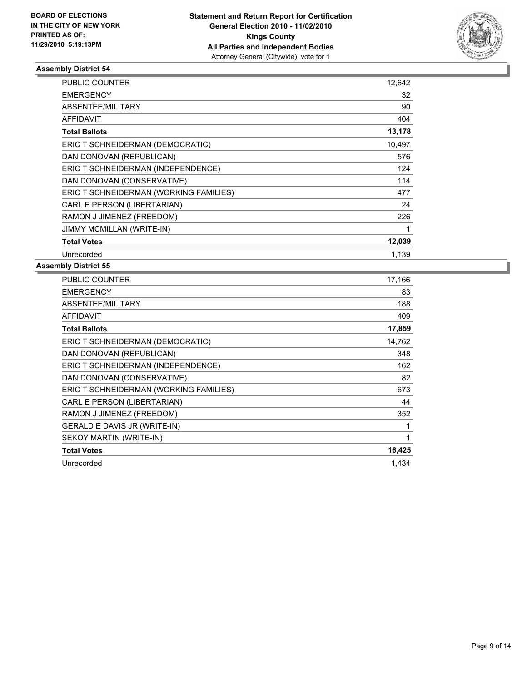

| <b>PUBLIC COUNTER</b>                  | 12,642 |
|----------------------------------------|--------|
| <b>EMERGENCY</b>                       | 32     |
| ABSENTEE/MILITARY                      | 90     |
| <b>AFFIDAVIT</b>                       | 404    |
| <b>Total Ballots</b>                   | 13,178 |
| ERIC T SCHNEIDERMAN (DEMOCRATIC)       | 10.497 |
| DAN DONOVAN (REPUBLICAN)               | 576    |
| ERIC T SCHNEIDERMAN (INDEPENDENCE)     | 124    |
| DAN DONOVAN (CONSERVATIVE)             | 114    |
| ERIC T SCHNEIDERMAN (WORKING FAMILIES) | 477    |
| CARL E PERSON (LIBERTARIAN)            | 24     |
| RAMON J JIMENEZ (FREEDOM)              | 226    |
| <b>JIMMY MCMILLAN (WRITE-IN)</b>       | 1      |
| <b>Total Votes</b>                     | 12,039 |
| Unrecorded                             | 1.139  |

| <b>PUBLIC COUNTER</b>                  | 17,166 |
|----------------------------------------|--------|
| <b>EMERGENCY</b>                       | 83     |
| ABSENTEE/MILITARY                      | 188    |
| AFFIDAVIT                              | 409    |
| <b>Total Ballots</b>                   | 17,859 |
| ERIC T SCHNEIDERMAN (DEMOCRATIC)       | 14,762 |
| DAN DONOVAN (REPUBLICAN)               | 348    |
| ERIC T SCHNEIDERMAN (INDEPENDENCE)     | 162    |
| DAN DONOVAN (CONSERVATIVE)             | 82     |
| ERIC T SCHNEIDERMAN (WORKING FAMILIES) | 673    |
| CARL E PERSON (LIBERTARIAN)            | 44     |
| RAMON J JIMENEZ (FREEDOM)              | 352    |
| GERALD E DAVIS JR (WRITE-IN)           | 1      |
| SEKOY MARTIN (WRITE-IN)                | 1      |
| <b>Total Votes</b>                     | 16,425 |
| Unrecorded                             | 1.434  |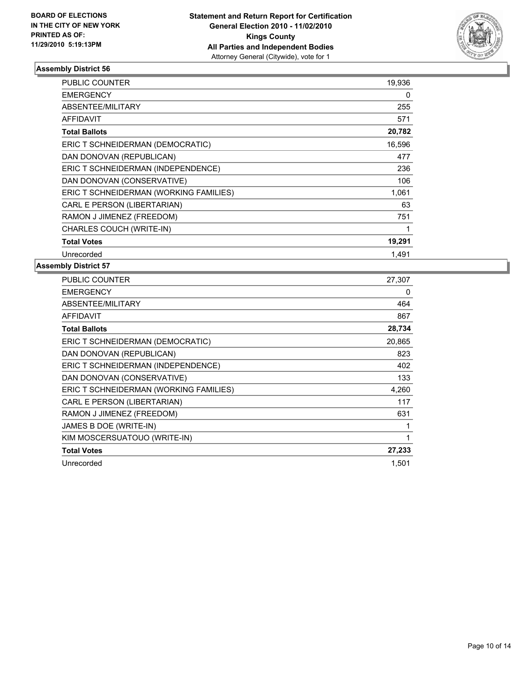

| <b>PUBLIC COUNTER</b>                  | 19,936 |
|----------------------------------------|--------|
| <b>EMERGENCY</b>                       | 0      |
| <b>ABSENTEE/MILITARY</b>               | 255    |
| <b>AFFIDAVIT</b>                       | 571    |
| <b>Total Ballots</b>                   | 20,782 |
| ERIC T SCHNEIDERMAN (DEMOCRATIC)       | 16,596 |
| DAN DONOVAN (REPUBLICAN)               | 477    |
| ERIC T SCHNEIDERMAN (INDEPENDENCE)     | 236    |
| DAN DONOVAN (CONSERVATIVE)             | 106    |
| ERIC T SCHNEIDERMAN (WORKING FAMILIES) | 1,061  |
| CARL E PERSON (LIBERTARIAN)            | 63     |
| RAMON J JIMENEZ (FREEDOM)              | 751    |
| CHARLES COUCH (WRITE-IN)               |        |
| <b>Total Votes</b>                     | 19,291 |
| Unrecorded                             | 1.491  |

| <b>PUBLIC COUNTER</b>                  | 27,307 |
|----------------------------------------|--------|
| <b>EMERGENCY</b>                       | 0      |
| ABSENTEE/MILITARY                      | 464    |
| AFFIDAVIT                              | 867    |
| <b>Total Ballots</b>                   | 28,734 |
| ERIC T SCHNEIDERMAN (DEMOCRATIC)       | 20,865 |
| DAN DONOVAN (REPUBLICAN)               | 823    |
| ERIC T SCHNEIDERMAN (INDEPENDENCE)     | 402    |
| DAN DONOVAN (CONSERVATIVE)             | 133    |
| ERIC T SCHNEIDERMAN (WORKING FAMILIES) | 4,260  |
| CARL E PERSON (LIBERTARIAN)            | 117    |
| RAMON J JIMENEZ (FREEDOM)              | 631    |
| JAMES B DOE (WRITE-IN)                 | 1      |
| KIM MOSCERSUATOUO (WRITE-IN)           | 1      |
| <b>Total Votes</b>                     | 27,233 |
| Unrecorded                             | 1,501  |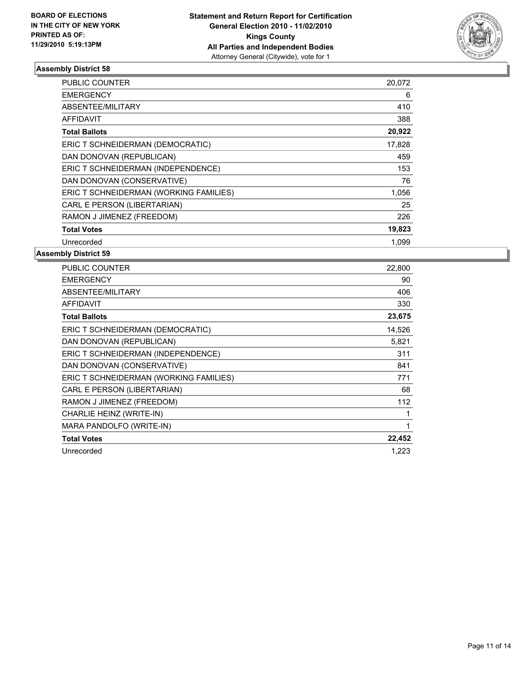

| <b>PUBLIC COUNTER</b>                  | 20,072 |
|----------------------------------------|--------|
| <b>EMERGENCY</b>                       | 6      |
| ABSENTEE/MILITARY                      | 410    |
| <b>AFFIDAVIT</b>                       | 388    |
| <b>Total Ballots</b>                   | 20,922 |
| ERIC T SCHNEIDERMAN (DEMOCRATIC)       | 17,828 |
| DAN DONOVAN (REPUBLICAN)               | 459    |
| ERIC T SCHNEIDERMAN (INDEPENDENCE)     | 153    |
| DAN DONOVAN (CONSERVATIVE)             | 76     |
| ERIC T SCHNEIDERMAN (WORKING FAMILIES) | 1,056  |
| CARL E PERSON (LIBERTARIAN)            | 25     |
| RAMON J JIMENEZ (FREEDOM)              | 226    |
| <b>Total Votes</b>                     | 19,823 |
| Unrecorded                             | 1,099  |

| <b>PUBLIC COUNTER</b>                  | 22,800 |
|----------------------------------------|--------|
| <b>EMERGENCY</b>                       | 90     |
| ABSENTEE/MILITARY                      | 406    |
| <b>AFFIDAVIT</b>                       | 330    |
| <b>Total Ballots</b>                   | 23,675 |
| ERIC T SCHNEIDERMAN (DEMOCRATIC)       | 14,526 |
| DAN DONOVAN (REPUBLICAN)               | 5,821  |
| ERIC T SCHNEIDERMAN (INDEPENDENCE)     | 311    |
| DAN DONOVAN (CONSERVATIVE)             | 841    |
| ERIC T SCHNEIDERMAN (WORKING FAMILIES) | 771    |
| CARL E PERSON (LIBERTARIAN)            | 68     |
| RAMON J JIMENEZ (FREEDOM)              | 112    |
| CHARLIE HEINZ (WRITE-IN)               | 1      |
| MARA PANDOLFO (WRITE-IN)               | 1      |
| <b>Total Votes</b>                     | 22,452 |
| Unrecorded                             | 1,223  |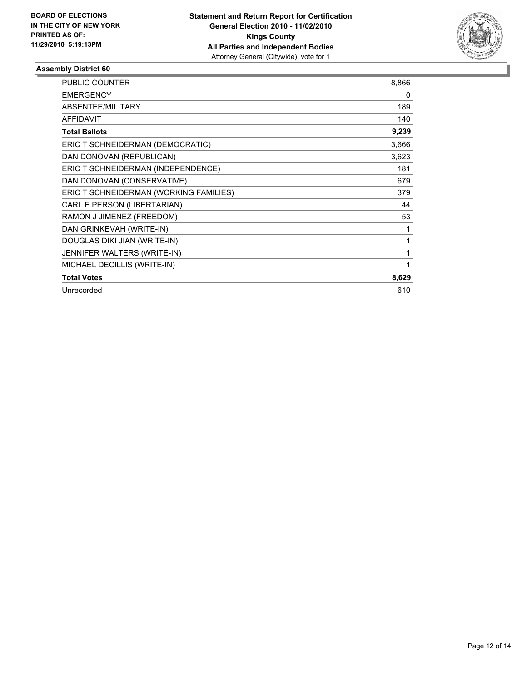

| <b>PUBLIC COUNTER</b>                  | 8.866 |
|----------------------------------------|-------|
| <b>EMERGENCY</b>                       | 0     |
| ABSENTEE/MILITARY                      | 189   |
| <b>AFFIDAVIT</b>                       | 140   |
| <b>Total Ballots</b>                   | 9,239 |
| ERIC T SCHNEIDERMAN (DEMOCRATIC)       | 3,666 |
| DAN DONOVAN (REPUBLICAN)               | 3,623 |
| ERIC T SCHNEIDERMAN (INDEPENDENCE)     | 181   |
| DAN DONOVAN (CONSERVATIVE)             | 679   |
| ERIC T SCHNEIDERMAN (WORKING FAMILIES) | 379   |
| CARL E PERSON (LIBERTARIAN)            | 44    |
| RAMON J JIMENEZ (FREEDOM)              | 53    |
| DAN GRINKEVAH (WRITE-IN)               | 1     |
| DOUGLAS DIKI JIAN (WRITE-IN)           | 1     |
| JENNIFER WALTERS (WRITE-IN)            | 1     |
| MICHAEL DECILLIS (WRITE-IN)            | 1     |
| <b>Total Votes</b>                     | 8,629 |
| Unrecorded                             | 610   |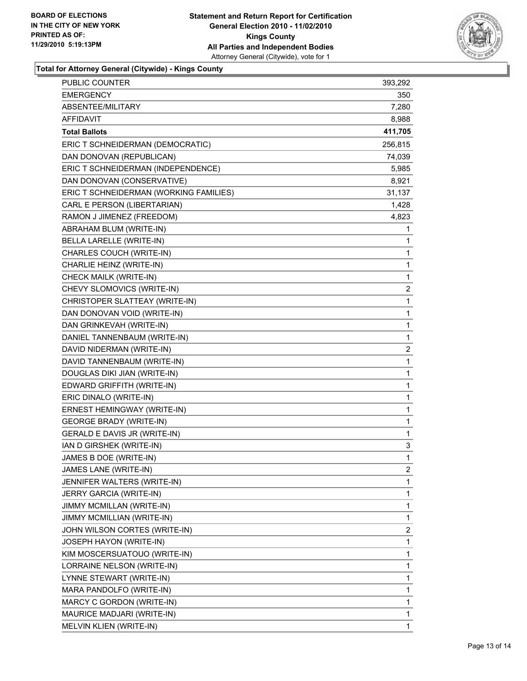

**Total for Attorney General (Citywide) - Kings County**

| PUBLIC COUNTER                         | 393,292      |
|----------------------------------------|--------------|
| <b>EMERGENCY</b>                       | 350          |
| ABSENTEE/MILITARY                      | 7,280        |
| AFFIDAVIT                              | 8,988        |
| <b>Total Ballots</b>                   | 411,705      |
| ERIC T SCHNEIDERMAN (DEMOCRATIC)       | 256,815      |
| DAN DONOVAN (REPUBLICAN)               | 74,039       |
| ERIC T SCHNEIDERMAN (INDEPENDENCE)     | 5,985        |
| DAN DONOVAN (CONSERVATIVE)             | 8,921        |
| ERIC T SCHNEIDERMAN (WORKING FAMILIES) | 31,137       |
| CARL E PERSON (LIBERTARIAN)            | 1,428        |
| RAMON J JIMENEZ (FREEDOM)              | 4,823        |
| ABRAHAM BLUM (WRITE-IN)                | 1            |
| BELLA LARELLE (WRITE-IN)               | 1            |
| CHARLES COUCH (WRITE-IN)               | 1            |
| CHARLIE HEINZ (WRITE-IN)               | 1            |
| CHECK MAILK (WRITE-IN)                 | 1            |
| CHEVY SLOMOVICS (WRITE-IN)             | 2            |
| CHRISTOPER SLATTEAY (WRITE-IN)         | 1            |
| DAN DONOVAN VOID (WRITE-IN)            | 1            |
| DAN GRINKEVAH (WRITE-IN)               | 1            |
| DANIEL TANNENBAUM (WRITE-IN)           | 1            |
| DAVID NIDERMAN (WRITE-IN)              | 2            |
| DAVID TANNENBAUM (WRITE-IN)            | 1            |
| DOUGLAS DIKI JIAN (WRITE-IN)           | 1            |
| EDWARD GRIFFITH (WRITE-IN)             | 1            |
| ERIC DINALO (WRITE-IN)                 | 1            |
| ERNEST HEMINGWAY (WRITE-IN)            | 1            |
| <b>GEORGE BRADY (WRITE-IN)</b>         | 1            |
| GERALD E DAVIS JR (WRITE-IN)           | 1            |
| IAN D GIRSHEK (WRITE-IN)               | 3            |
| JAMES B DOE (WRITE-IN)                 | $\mathbf{1}$ |
| JAMES LANE (WRITE-IN)                  | 2            |
| JENNIFER WALTERS (WRITE-IN)            | 1            |
| JERRY GARCIA (WRITE-IN)                | 1            |
| JIMMY MCMILLAN (WRITE-IN)              | 1            |
| JIMMY MCMILLIAN (WRITE-IN)             | 1            |
| JOHN WILSON CORTES (WRITE-IN)          | 2            |
| <b>JOSEPH HAYON (WRITE-IN)</b>         | 1            |
| KIM MOSCERSUATOUO (WRITE-IN)           | 1            |
| LORRAINE NELSON (WRITE-IN)             | 1            |
| LYNNE STEWART (WRITE-IN)               | 1            |
| MARA PANDOLFO (WRITE-IN)               | 1            |
| MARCY C GORDON (WRITE-IN)              | 1            |
| MAURICE MADJARI (WRITE-IN)             | 1            |
| MELVIN KLIEN (WRITE-IN)                | 1            |